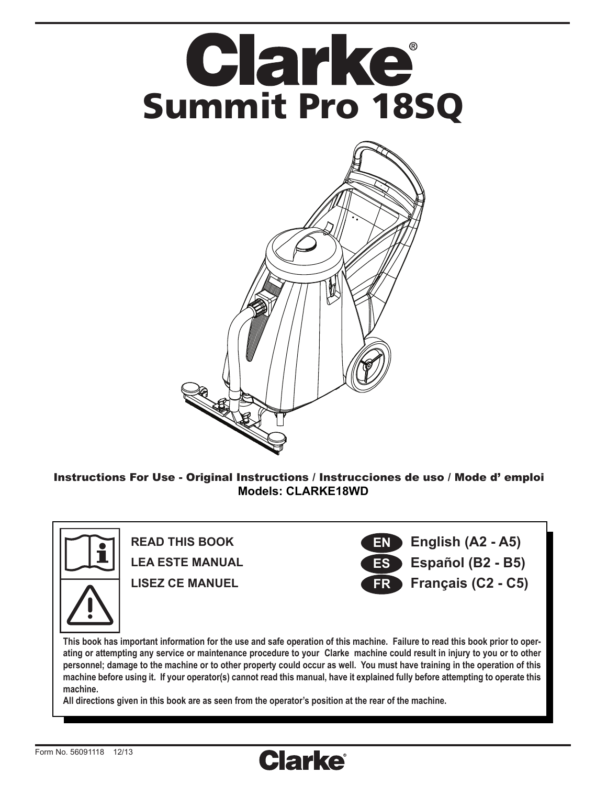

Instructions For Use - Original Instructions / Instrucciones de uso / Mode d' emploi **Models: CLARKE18WD**



**This book has important information for the use and safe operation of this machine. Failure to read this book prior to operating or attempting any service or maintenance procedure to your Clarke machine could result in injury to you or to other personnel; damage to the machine or to other property could occur as well. You must have training in the operation of this machine before using it. If your operator(s) cannot read this manual, have it explained fully before attempting to operate this machine.**

**All directions given in this book are as seen from the operator's position at the rear of the machine.**

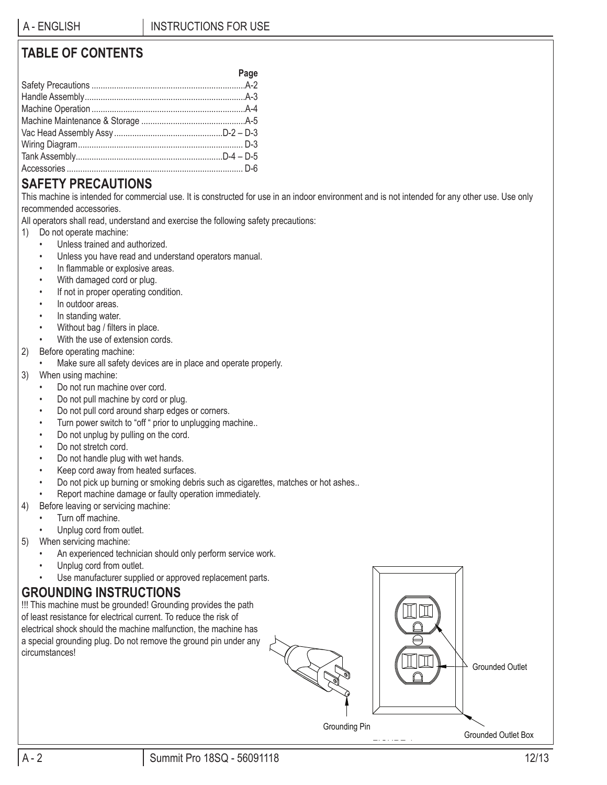# **TABLE OF CONTENTS**

| Page |
|------|
|      |
|      |
|      |
|      |
|      |
|      |
|      |
|      |

### **SAFETY PRECAUTIONS**

This machine is intended for commercial use. It is constructed for use in an indoor environment and is not intended for any other use. Use only recommended accessories.

All operators shall read, understand and exercise the following safety precautions:

- 1) Do not operate machine:
	- Unless trained and authorized.
	- Unless you have read and understand operators manual.
	- In flammable or explosive areas.
	- With damaged cord or plug.
	- If not in proper operating condition.
	- In outdoor areas.
	- In standing water.
	- Without bag / filters in place.
	- With the use of extension cords.
- 2) Before operating machine:
	- Make sure all safety devices are in place and operate properly.
- 3) When using machine:
	- Do not run machine over cord.
	- Do not pull machine by cord or plug.
	- Do not pull cord around sharp edges or corners.
	- Turn power switch to "off " prior to unplugging machine..
	- Do not unplug by pulling on the cord.
	- Do not stretch cord.
	- Do not handle plug with wet hands.
	- Keep cord away from heated surfaces.
	- Do not pick up burning or smoking debris such as cigarettes, matches or hot ashes..
	- Report machine damage or faulty operation immediately.
- 4) Before leaving or servicing machine:
	- Turn off machine.
	- Unplug cord from outlet.
- 5) When servicing machine:
	- An experienced technician should only perform service work.
	- Unplug cord from outlet.
	- Use manufacturer supplied or approved replacement parts.

# **GROUNDING INSTRUCTIONS**

!!! This machine must be grounded! Grounding provides the path of least resistance for electrical current. To reduce the risk of electrical shock should the machine malfunction, the machine has a special grounding plug. Do not remove the ground pin under any circumstances!





Grounding Pin

FIGURE 1

Grounded Outlet Box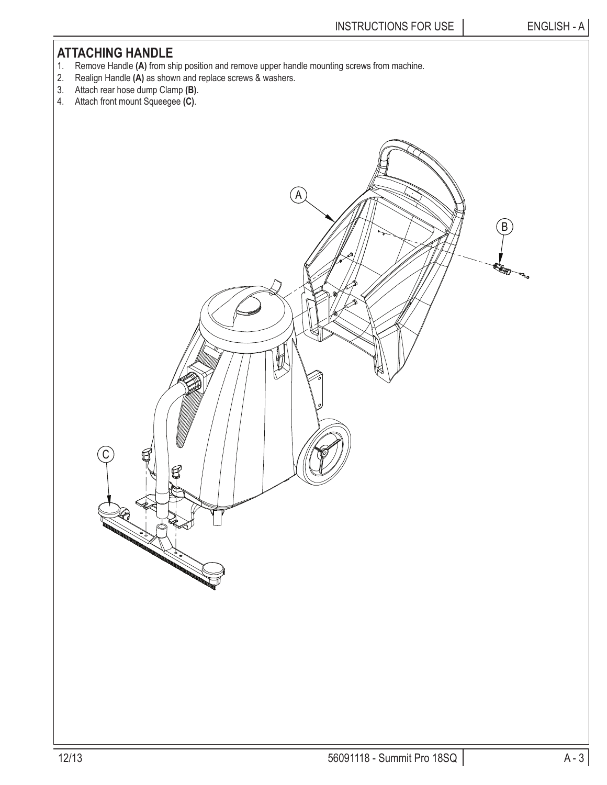### **ATTACHING HANDLE**

- 1. Remove Handle **(A)** from ship position and remove upper handle mounting screws from machine.
- 2. Realign Handle **(A)** as shown and replace screws & washers.
- 3. Attach rear hose dump Clamp **(B)**.
- 4. Attach front mount Squeegee **(C)**.

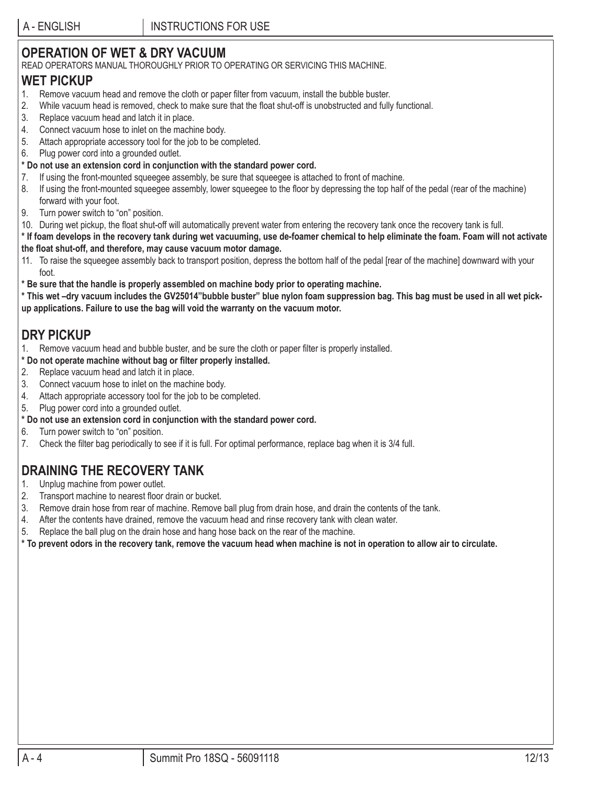# **OPERATION OF WET & DRY VACUUM**

READ OPERATORS MANUAL THOROUGHLY PRIOR TO OPERATING OR SERVICING THIS MACHINE.

### **WET PICKUP**

- 1. Remove vacuum head and remove the cloth or paper fi lter from vacuum, install the bubble buster.
- 2. While vacuum head is removed, check to make sure that the float shut-off is unobstructed and fully functional.
- 3. Replace vacuum head and latch it in place.
- 4. Connect vacuum hose to inlet on the machine body.
- 5. Attach appropriate accessory tool for the job to be completed.
- 6. Plug power cord into a grounded outlet.
- **\* Do not use an extension cord in conjunction with the standard power cord.**
- 7. If using the front-mounted squeegee assembly, be sure that squeegee is attached to front of machine.
- 8. If using the front-mounted squeegee assembly, lower squeegee to the floor by depressing the top half of the pedal (rear of the machine) forward with your foot.
- 9. Turn power switch to "on" position.
- 10. During wet pickup, the float shut-off will automatically prevent water from entering the recovery tank once the recovery tank is full.

**\* If foam develops in the recovery tank during wet vacuuming, use de-foamer chemical to help eliminate the foam. Foam will not activate the fl oat shut-off, and therefore, may cause vacuum motor damage.**

- 11. To raise the squeegee assembly back to transport position, depress the bottom half of the pedal [rear of the machine] downward with your foot.
- **\* Be sure that the handle is properly assembled on machine body prior to operating machine.**

**\* This wet –dry vacuum includes the GV25014"bubble buster" blue nylon foam suppression bag. This bag must be used in all wet pickup applications. Failure to use the bag will void the warranty on the vacuum motor.**

### **DRY PICKUP**

- 1. Remove vacuum head and bubble buster, and be sure the cloth or paper filter is properly installed.
- **\* Do not operate machine without bag or fi lter properly installed.**
- 2. Replace vacuum head and latch it in place.
- 3. Connect vacuum hose to inlet on the machine body.
- 4. Attach appropriate accessory tool for the job to be completed.
- 5. Plug power cord into a grounded outlet.
- **\* Do not use an extension cord in conjunction with the standard power cord.**
- 6. Turn power switch to "on" position.
- 7. Check the filter bag periodically to see if it is full. For optimal performance, replace bag when it is 3/4 full.

## **DRAINING THE RECOVERY TANK**

- 1. Unplug machine from power outlet.
- 2. Transport machine to nearest floor drain or bucket.
- 3. Remove drain hose from rear of machine. Remove ball plug from drain hose, and drain the contents of the tank.
- 4. After the contents have drained, remove the vacuum head and rinse recovery tank with clean water.
- 5. Replace the ball plug on the drain hose and hang hose back on the rear of the machine.

**\* To prevent odors in the recovery tank, remove the vacuum head when machine is not in operation to allow air to circulate.**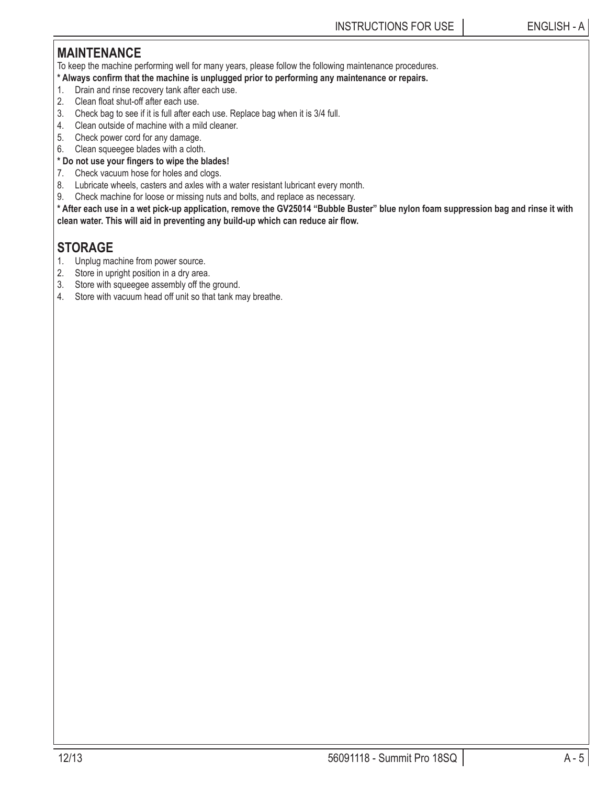## **MAINTENANCE**

To keep the machine performing well for many years, please follow the following maintenance procedures.

- **\* Always confi rm that the machine is unplugged prior to performing any maintenance or repairs.**
- 1. Drain and rinse recovery tank after each use.
- 2. Clean float shut-off after each use.
- 3. Check bag to see if it is full after each use. Replace bag when it is 3/4 full.
- 4. Clean outside of machine with a mild cleaner.
- 5. Check power cord for any damage.
- 6. Clean squeegee blades with a cloth.
- **\* Do not use your fi ngers to wipe the blades!**
- 7. Check vacuum hose for holes and clogs.
- 8. Lubricate wheels, casters and axles with a water resistant lubricant every month.
- 9. Check machine for loose or missing nuts and bolts, and replace as necessary.

**\* After each use in a wet pick-up application, remove the GV25014 "Bubble Buster" blue nylon foam suppression bag and rinse it with**  clean water. This will aid in preventing any build-up which can reduce air flow.

## **STORAGE**

- 1. Unplug machine from power source.
- 2. Store in upright position in a dry area.
- 3. Store with squeegee assembly off the ground.
- 4. Store with vacuum head off unit so that tank may breathe.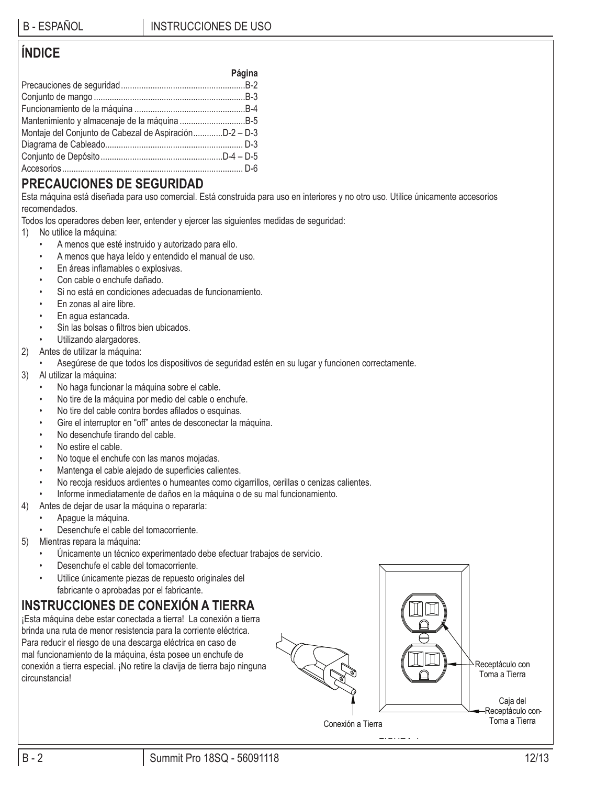### **ÍNDICE**

|                                                        | Página |
|--------------------------------------------------------|--------|
|                                                        |        |
|                                                        |        |
|                                                        |        |
|                                                        |        |
| Montaje del Conjunto de Cabezal de AspiraciónD-2 - D-3 |        |
|                                                        |        |
|                                                        |        |
|                                                        |        |

## **PRECAUCIONES DE SEGURIDAD**

Esta máquina está diseñada para uso comercial. Está construida para uso en interiores y no otro uso. Utilice únicamente accesorios recomendados.

Todos los operadores deben leer, entender y ejercer las siguientes medidas de seguridad:

- 1) No utilice la máquina:
	- A menos que esté instruido y autorizado para ello.
	- A menos que haya leído y entendido el manual de uso.
	- En áreas inflamables o explosivas.
	- Con cable o enchufe dañado.
	- Si no está en condiciones adecuadas de funcionamiento.
	- En zonas al aire libre.
	- En agua estancada.
	- Sin las bolsas o filtros bien ubicados.
	- Utilizando alargadores.
- 2) Antes de utilizar la máquina:
	- Asegúrese de que todos los dispositivos de seguridad estén en su lugar y funcionen correctamente.
- 3) Al utilizar la máquina:
	- No haga funcionar la máquina sobre el cable.
	- No tire de la máquina por medio del cable o enchufe.
	- No tire del cable contra bordes afilados o esquinas.
	- Gire el interruptor en "off" antes de desconectar la máquina.
	- No desenchufe tirando del cable.
	- No estire el cable.
	- No toque el enchufe con las manos mojadas.
	- Mantenga el cable alejado de superficies calientes.
	- No recoja residuos ardientes o humeantes como cigarrillos, cerillas o cenizas calientes.
	- Informe inmediatamente de daños en la máquina o de su mal funcionamiento.
- 4) Antes de dejar de usar la máquina o repararla:
	- Apague la máquina.
	- Desenchufe el cable del tomacorriente.
- 5) Mientras repara la máquina:
	- Únicamente un técnico experimentado debe efectuar trabajos de servicio.
	- Desenchufe el cable del tomacorriente.
	- Utilice únicamente piezas de repuesto originales del fabricante o aprobadas por el fabricante.

# **INSTRUCCIONES DE CONEXIÓN A TIERRA**

¡Esta máquina debe estar conectada a tierra! La conexión a tierra brinda una ruta de menor resistencia para la corriente eléctrica. Para reducir el riesgo de una descarga eléctrica en caso de mal funcionamiento de la máquina, ésta posee un enchufe de conexión a tierra especial. ¡No retire la clavija de tierra bajo ninguna circunstancia!

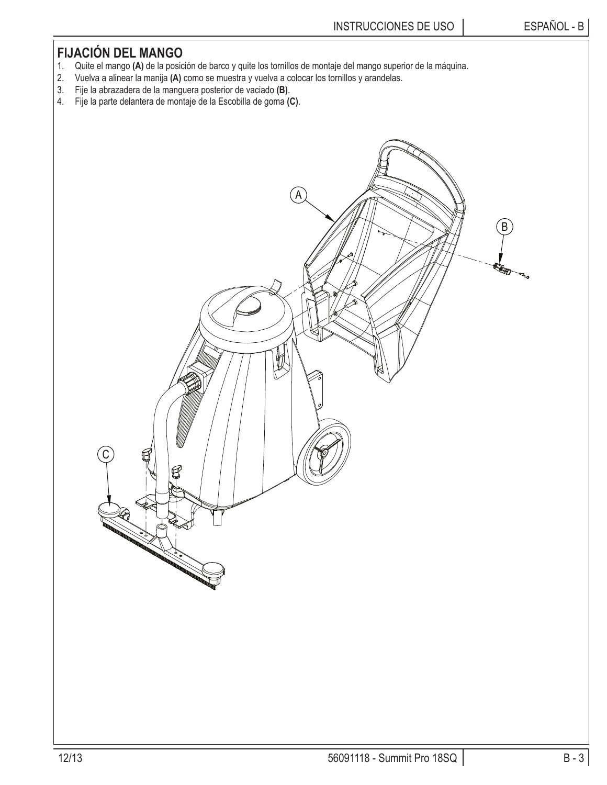# **FIJACIÓN DEL MANGO**

- 1. Quite el mango **(A)** de la posición de barco y quite los tornillos de montaje del mango superior de la máquina.
- 2. Vuelva a alinear la manija **(A)** como se muestra y vuelva a colocar los tornillos y arandelas.
- 3. Fije la abrazadera de la manguera posterior de vaciado **(B)**.
- 4. Fije la parte delantera de montaje de la Escobilla de goma **(C)**.

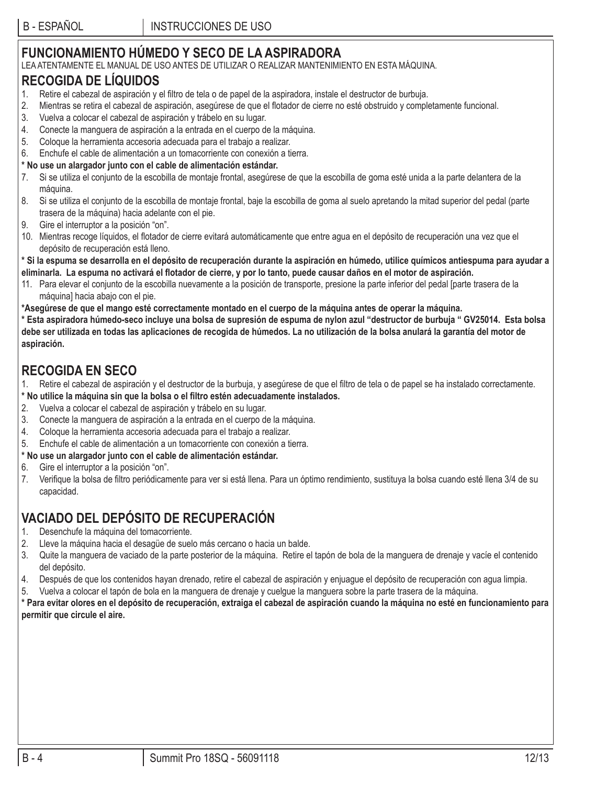# **FUNCIONAMIENTO HÚMEDO Y SECO DE LA ASPIRADORA**

LEA ATENTAMENTE EL MANUAL DE USO ANTES DE UTILIZAR O REALIZAR MANTENIMIENTO EN ESTA MÁQUINA.

### **RECOGIDA DE LÍQUIDOS**

- 1. Retire el cabezal de aspiración y el filtro de tela o de papel de la aspiradora, instale el destructor de burbuja.
- 2. Mientras se retira el cabezal de aspiración, asegúrese de que el flotador de cierre no esté obstruido y completamente funcional.
- 3. Vuelva a colocar el cabezal de aspiración y trábelo en su lugar.
- 4. Conecte la manguera de aspiración a la entrada en el cuerpo de la máquina.
- 5. Coloque la herramienta accesoria adecuada para el trabajo a realizar.
- 6. Enchufe el cable de alimentación a un tomacorriente con conexión a tierra.

### **\* No use un alargador junto con el cable de alimentación estándar.**

- 7. Si se utiliza el conjunto de la escobilla de montaje frontal, asegúrese de que la escobilla de goma esté unida a la parte delantera de la máquina.
- 8. Si se utiliza el conjunto de la escobilla de montaje frontal, baje la escobilla de goma al suelo apretando la mitad superior del pedal (parte trasera de la máquina) hacia adelante con el pie.
- Gire el interruptor a la posición "on".
- 10. Mientras recoge líquidos, el flotador de cierre evitará automáticamente que entre agua en el depósito de recuperación una vez que el depósito de recuperación está lleno.

**\* Si la espuma se desarrolla en el depósito de recuperación durante la aspiración en húmedo, utilice químicos antiespuma para ayudar a**  eliminarla. La espuma no activará el flotador de cierre, y por lo tanto, puede causar daños en el motor de aspiración.

- 11. Para elevar el conjunto de la escobilla nuevamente a la posición de transporte, presione la parte inferior del pedal [parte trasera de la máquina] hacia abajo con el pie.
- **\*Asegúrese de que el mango esté correctamente montado en el cuerpo de la máquina antes de operar la máquina.**

**\* Esta aspiradora húmedo-seco incluye una bolsa de supresión de espuma de nylon azul "destructor de burbuja " GV25014. Esta bolsa debe ser utilizada en todas las aplicaciones de recogida de húmedos. La no utilización de la bolsa anulará la garantía del motor de aspiración.**

## **RECOGIDA EN SECO**

- Retire el cabezal de aspiración y el destructor de la burbuja, y asegúrese de que el filtro de tela o de papel se ha instalado correctamente.
- **\* No utilice la máquina sin que la bolsa o el fi ltro estén adecuadamente instalados.**
- 2. Vuelva a colocar el cabezal de aspiración y trábelo en su lugar.
- 3. Conecte la manguera de aspiración a la entrada en el cuerpo de la máquina.
- 4. Coloque la herramienta accesoria adecuada para el trabajo a realizar.
- 5. Enchufe el cable de alimentación a un tomacorriente con conexión a tierra.

### **\* No use un alargador junto con el cable de alimentación estándar.**

- 6. Gire el interruptor a la posición "on".
- 7. Verifique la bolsa de filtro periódicamente para ver si está llena. Para un óptimo rendimiento, sustituya la bolsa cuando esté llena 3/4 de su capacidad.

# **VACIADO DEL DEPÓSITO DE RECUPERACIÓN**

- 1. Desenchufe la máquina del tomacorriente.
- 2. Lleve la máquina hacia el desagüe de suelo más cercano o hacia un balde.
- 3. Quite la manguera de vaciado de la parte posterior de la máquina. Retire el tapón de bola de la manguera de drenaje y vacíe el contenido del depósito.
- 4. Después de que los contenidos hayan drenado, retire el cabezal de aspiración y enjuague el depósito de recuperación con agua limpia.
- 5. Vuelva a colocar el tapón de bola en la manguera de drenaje y cuelgue la manguera sobre la parte trasera de la máquina.

**\* Para evitar olores en el depósito de recuperación, extraiga el cabezal de aspiración cuando la máquina no esté en funcionamiento para permitir que circule el aire.**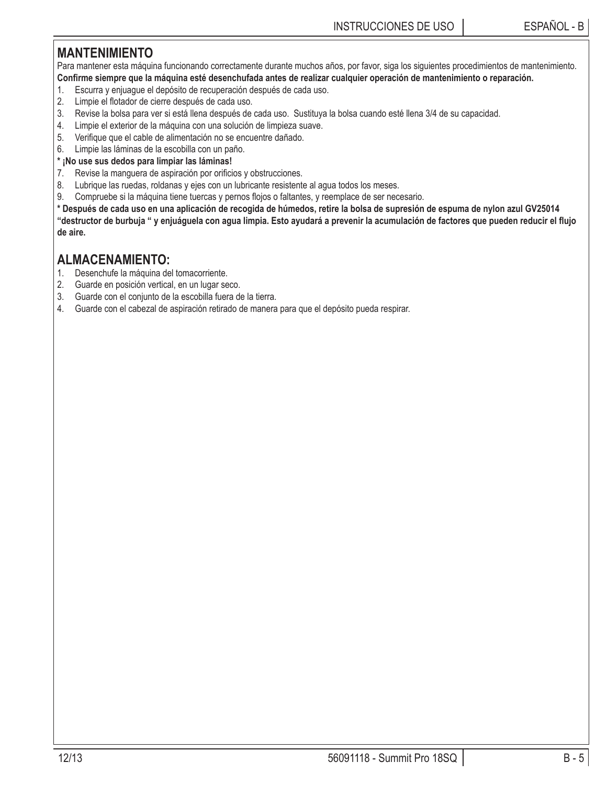## **MANTENIMIENTO**

Para mantener esta máquina funcionando correctamente durante muchos años, por favor, siga los siguientes procedimientos de mantenimiento. Confirme siempre que la máquina esté desenchufada antes de realizar cualquier operación de mantenimiento o reparación.

- 1. Escurra y enjuague el depósito de recuperación después de cada uso.
- 2. Limpie el flotador de cierre después de cada uso.
- 3. Revise la bolsa para ver si está llena después de cada uso. Sustituya la bolsa cuando esté llena 3/4 de su capacidad.
- 4. Limpie el exterior de la máquina con una solución de limpieza suave.
- 5. Verifique que el cable de alimentación no se encuentre dañado.
- 6. Limpie las láminas de la escobilla con un paño.

### **\* ¡No use sus dedos para limpiar las láminas!**

- 7. Revise la manguera de aspiración por orificios y obstrucciones.
- 8. Lubrique las ruedas, roldanas y ejes con un lubricante resistente al agua todos los meses.
- 9. Compruebe si la máquina tiene tuercas y pernos flojos o faltantes, y reemplace de ser necesario.

**\* Después de cada uso en una aplicación de recogida de húmedos, retire la bolsa de supresión de espuma de nylon azul GV25014**  "destructor de burbuja " y enjuáguela con agua limpia. Esto ayudará a prevenir la acumulación de factores que pueden reducir el flujo **de aire.**

### **ALMACENAMIENTO:**

- 1. Desenchufe la máquina del tomacorriente.
- 2. Guarde en posición vertical, en un lugar seco.
- 3. Guarde con el conjunto de la escobilla fuera de la tierra.
- 4. Guarde con el cabezal de aspiración retirado de manera para que el depósito pueda respirar.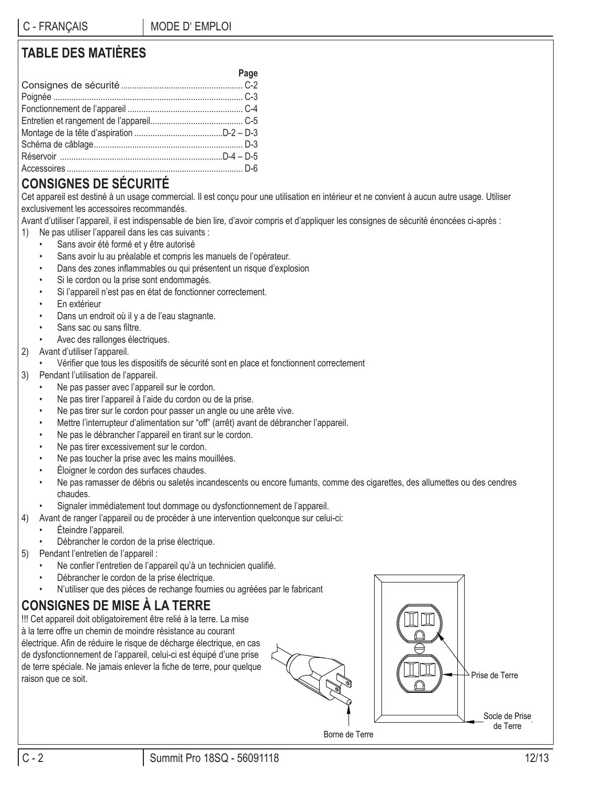# **TABLE DES MATIÈRES**

| Page |
|------|
|      |
|      |
|      |
|      |
|      |
|      |
|      |
|      |

# **CONSIGNES DE SÉCURITÉ**

Cet appareil est destiné à un usage commercial. Il est conçu pour une utilisation en intérieur et ne convient à aucun autre usage. Utiliser exclusivement les accessoires recommandés.

Avant d'utiliser l'appareil, il est indispensable de bien lire, d'avoir compris et d'appliquer les consignes de sécurité énoncées ci-après :

- 1) Ne pas utiliser l'appareil dans les cas suivants :
	- Sans avoir été formé et y être autorisé
	- Sans avoir lu au préalable et compris les manuels de l'opérateur.
	- Dans des zones inflammables ou qui présentent un risque d'explosion
	- Si le cordon ou la prise sont endommagés.
	- Si l'appareil n'est pas en état de fonctionner correctement.
	- En extérieur
	- Dans un endroit où il y a de l'eau stagnante.
	- Sans sac ou sans filtre.
	- Avec des rallonges électriques.
- 2) Avant d'utiliser l'appareil.
	- Vérifier que tous les dispositifs de sécurité sont en place et fonctionnent correctement
- 3) Pendant l'utilisation de l'appareil.
	- Ne pas passer avec l'appareil sur le cordon.
	- Ne pas tirer l'appareil à l'aide du cordon ou de la prise.
	- Ne pas tirer sur le cordon pour passer un angle ou une arête vive.
	- Mettre l'interrupteur d'alimentation sur "off" (arrêt) avant de débrancher l'appareil.
	- Ne pas le débrancher l'appareil en tirant sur le cordon.
	- Ne pas tirer excessivement sur le cordon.
	- Ne pas toucher la prise avec les mains mouillées.
	- Éloigner le cordon des surfaces chaudes.
	- Ne pas ramasser de débris ou saletés incandescents ou encore fumants, comme des cigarettes, des allumettes ou des cendres chaudes.
- Signaler immédiatement tout dommage ou dysfonctionnement de l'appareil.
- 4) Avant de ranger l'appareil ou de procéder à une intervention quelconque sur celui-ci:
	- Éteindre l'appareil.
	- Débrancher le cordon de la prise électrique.
- 5) Pendant l'entretien de l'appareil :
	- Ne confier l'entretien de l'appareil qu'à un technicien qualifié.
	- Débrancher le cordon de la prise électrique.
	- N'utiliser que des pièces de rechange fournies ou agréées par le fabricant

# **CONSIGNES DE MISE À LA TERRE**

!!! Cet appareil doit obligatoirement être relié à la terre. La mise à la terre offre un chemin de moindre résistance au courant électrique. Afin de réduire le risque de décharge électrique, en cas de dysfonctionnement de l'appareil, celui-ci est équipé d'une prise de terre spéciale. Ne jamais enlever la fiche de terre, pour quelque raison que ce soit.





Borne de Terre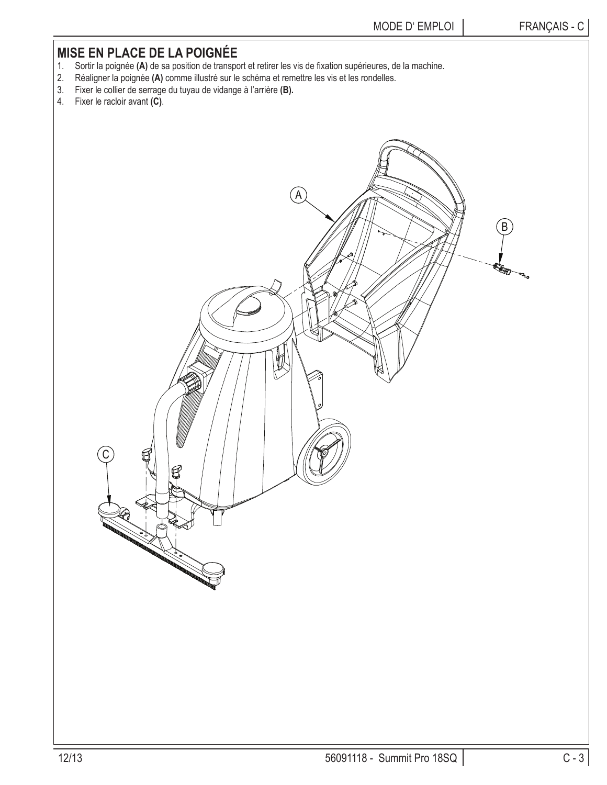## **MISE EN PLACE DE LA POIGNÉE**

- 1. Sortir la poignée (A) de sa position de transport et retirer les vis de fixation supérieures, de la machine.
- 2. Réaligner la poignée **(A)** comme illustré sur le schéma et remettre les vis et les rondelles.
- 3. Fixer le collier de serrage du tuyau de vidange à l'arrière **(B).**
- 4. Fixer le racloir avant **(C)**.

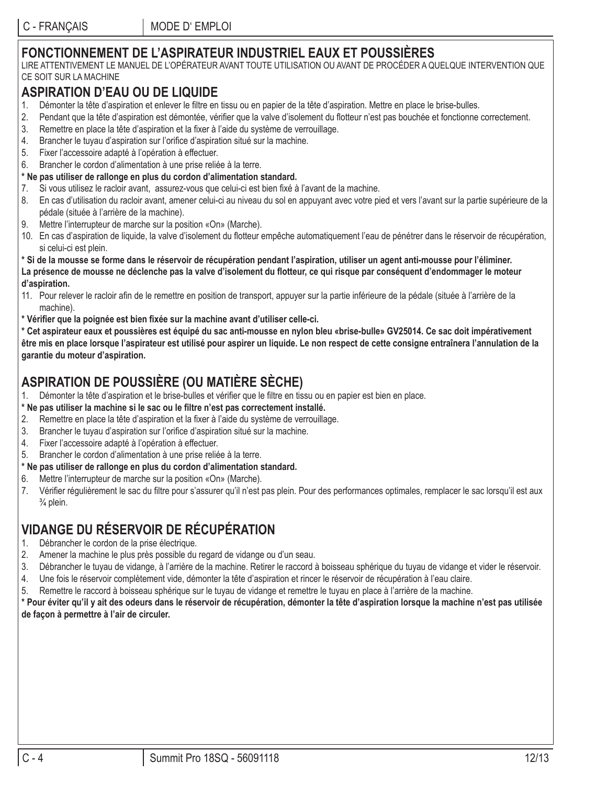# **FONCTIONNEMENT DE L'ASPIRATEUR INDUSTRIEL EAUX ET POUSSIÈRES**

LIRE ATTENTIVEMENT LE MANUEL DE L'OPÉRATEUR AVANT TOUTE UTILISATION OU AVANT DE PROCÉDER A QUELQUE INTERVENTION QUE CE SOIT SUR LA MACHINE

### **ASPIRATION D'EAU OU DE LIQUIDE**

- 1. Démonter la tête d'aspiration et enlever le filtre en tissu ou en papier de la tête d'aspiration. Mettre en place le brise-bulles.
- 2. Pendant que la tête d'aspiration est démontée, vérifier que la valve d'isolement du flotteur n'est pas bouchée et fonctionne correctement.
- 3. Remettre en place la tête d'aspiration et la fixer à l'aide du système de verrouillage.
- 4. Brancher le tuyau d'aspiration sur l'orifice d'aspiration situé sur la machine.
- 5. Fixer l'accessoire adapté à l'opération à effectuer.
- 6. Brancher le cordon d'alimentation à une prise reliée à la terre.
- **\* Ne pas utiliser de rallonge en plus du cordon d'alimentation standard.**
- 7. Si vous utilisez le racloir avant, assurez-vous que celui-ci est bien fixé à l'avant de la machine.
- 8. En cas d'utilisation du racloir avant, amener celui-ci au niveau du sol en appuyant avec votre pied et vers l'avant sur la partie supérieure de la pédale (située à l'arrière de la machine).
- 9. Mettre l'interrupteur de marche sur la position «On» (Marche).
- 10. En cas d'aspiration de liquide, la valve d'isolement du flotteur empêche automatiquement l'eau de pénétrer dans le réservoir de récupération, si celui-ci est plein.

#### **\* Si de la mousse se forme dans le réservoir de récupération pendant l'aspiration, utiliser un agent anti-mousse pour l'éliminer.**  La présence de mousse ne déclenche pas la valve d'isolement du flotteur, ce qui risque par conséquent d'endommager le moteur **d'aspiration.**

- 11. Pour relever le racloir afin de le remettre en position de transport, appuyer sur la partie inférieure de la pédale (située à l'arrière de la machine).
- \* Vérifier que la poignée est bien fixée sur la machine avant d'utiliser celle-ci.

**\* Cet aspirateur eaux et poussières est équipé du sac anti-mousse en nylon bleu «brise-bulle» GV25014. Ce sac doit impérativement être mis en place lorsque l'aspirateur est utilisé pour aspirer un liquide. Le non respect de cette consigne entraînera l'annulation de la garantie du moteur d'aspiration.**

# **ASPIRATION DE POUSSIÈRE (OU MATIÈRE SÈCHE)**

1. Démonter la tête d'aspiration et le brise-bulles et vérifier que le filtre en tissu ou en papier est bien en place.

#### \* Ne pas utiliser la machine si le sac ou le filtre n'est pas correctement installé.

- 2. Remettre en place la tête d'aspiration et la fixer à l'aide du système de verrouillage.
- 3. Brancher le tuyau d'aspiration sur l'orifice d'aspiration situé sur la machine.
- 4. Fixer l'accessoire adapté à l'opération à effectuer.
- 5. Brancher le cordon d'alimentation à une prise reliée à la terre.
- **\* Ne pas utiliser de rallonge en plus du cordon d'alimentation standard.**
- 6. Mettre l'interrupteur de marche sur la position «On» (Marche).
- 7. Vérifier régulièrement le sac du filtre pour s'assurer qu'il n'est pas plein. Pour des performances optimales, remplacer le sac lorsqu'il est aux  $\frac{3}{4}$  plein.

# **VIDANGE DU RÉSERVOIR DE RÉCUPÉRATION**

- 1. Débrancher le cordon de la prise électrique.
- 2. Amener la machine le plus près possible du regard de vidange ou d'un seau.
- 3. Débrancher le tuyau de vidange, à l'arrière de la machine. Retirer le raccord à boisseau sphérique du tuyau de vidange et vider le réservoir.
- 4. Une fois le réservoir complètement vide, démonter la tête d'aspiration et rincer le réservoir de récupération à l'eau claire.
- 5. Remettre le raccord à boisseau sphérique sur le tuyau de vidange et remettre le tuyau en place à l'arrière de la machine.

**\* Pour éviter qu'il y ait des odeurs dans le réservoir de récupération, démonter la tête d'aspiration lorsque la machine n'est pas utilisée de façon à permettre à l'air de circuler.**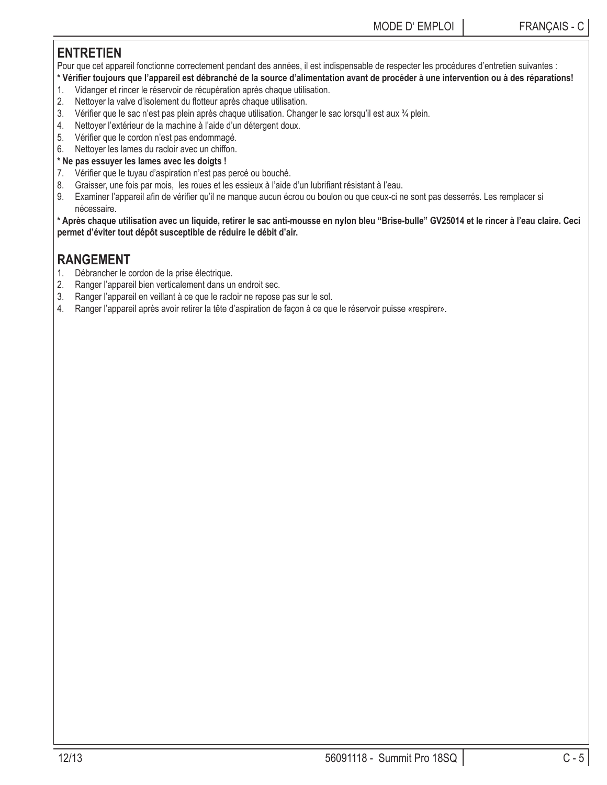### **ENTRETIEN**

Pour que cet appareil fonctionne correctement pendant des années, il est indispensable de respecter les procédures d'entretien suivantes :

- \* Vérifier toujours que l'appareil est débranché de la source d'alimentation avant de procéder à une intervention ou à des réparations!
- 1. Vidanger et rincer le réservoir de récupération après chaque utilisation.
- 2. Nettoyer la valve d'isolement du flotteur après chaque utilisation.
- 3. Vérifier que le sac n'est pas plein après chaque utilisation. Changer le sac lorsqu'il est aux ¾ plein.
- 4. Nettoyer l'extérieur de la machine à l'aide d'un détergent doux.
- 5. Vérifier que le cordon n'est pas endommagé.
- 6. Nettoyer les lames du racloir avec un chiffon.

### **\* Ne pas essuyer les lames avec les doigts !**

- 7. Vérifier que le tuyau d'aspiration n'est pas percé ou bouché.
- 8. Graisser, une fois par mois, les roues et les essieux à l'aide d'un lubrifiant résistant à l'eau.
- 9. Examiner l'appareil afin de vérifier qu'il ne manque aucun écrou ou boulon ou que ceux-ci ne sont pas desserrés. Les remplacer si nécessaire.

**\* Après chaque utilisation avec un liquide, retirer le sac anti-mousse en nylon bleu "Brise-bulle" GV25014 et le rincer à l'eau claire. Ceci permet d'éviter tout dépôt susceptible de réduire le débit d'air.**

## **RANGEMENT**

- 1. Débrancher le cordon de la prise électrique.
- 2. Ranger l'appareil bien verticalement dans un endroit sec.
- 3. Ranger l'appareil en veillant à ce que le racloir ne repose pas sur le sol.
- 4. Ranger l'appareil après avoir retirer la tête d'aspiration de façon à ce que le réservoir puisse «respirer».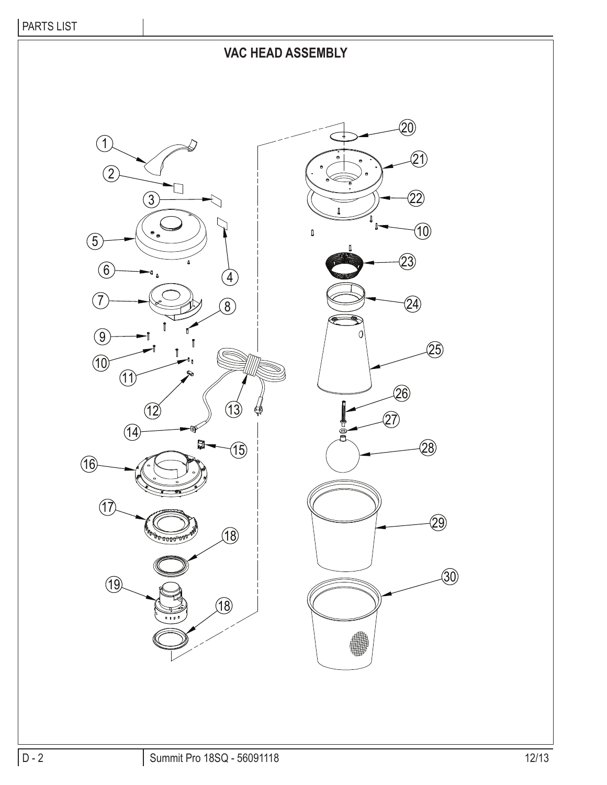# **VAC HEAD ASSEMBLY**

 $\mathbf{\hat{2}1)}$ 

 $\widehat{27}$ 

 $\circledR$ 

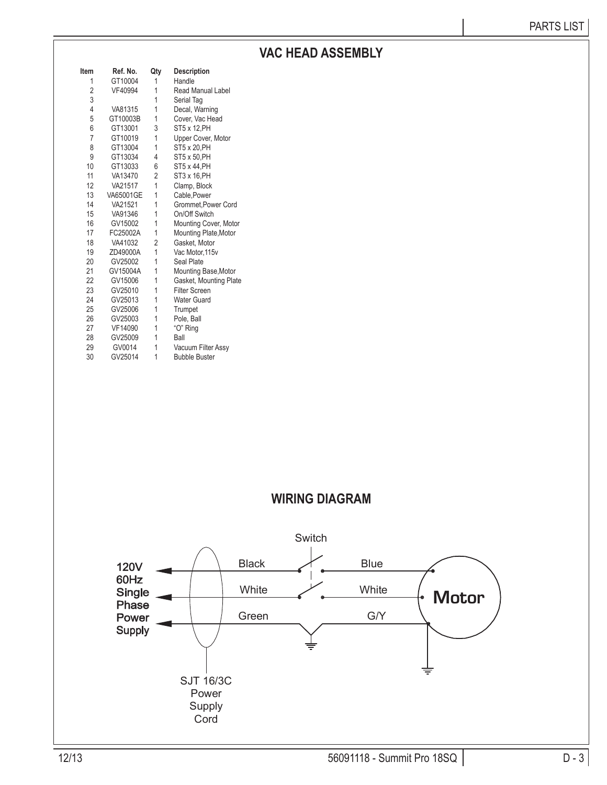# **VAC HEAD ASSEMBLY**

| Item           | Ref. No.  | Qty            | <b>Description</b>       |
|----------------|-----------|----------------|--------------------------|
| 1              | GT10004   | 1              | Handle                   |
| $\overline{c}$ | VF40994   | 1              | <b>Read Manual Label</b> |
| 3              |           | 1              | Serial Tag               |
| 4              | VA81315   | 1              | Decal, Warning           |
| 5              | GT10003B  | 1              | Cover, Vac Head          |
| 6              | GT13001   | 3              | ST5 x 12, PH             |
| 7              | GT10019   | 1              | Upper Cover, Motor       |
| 8              | GT13004   | 1              | ST5 x 20, PH             |
| 9              | GT13034   | 4              | ST5 x 50, PH             |
| 10             | GT13033   | 6              | ST5 x 44, PH             |
| 11             | VA13470   | $\overline{2}$ | ST3 x 16, PH             |
| 12             | VA21517   | 1              | Clamp, Block             |
| 13             | VA65001GE | 1              | Cable, Power             |
| 14             | VA21521   | 1              | Grommet, Power Cord      |
| 15             | VA91346   | 1              | On/Off Switch            |
| 16             | GV15002   | 1              | Mounting Cover, Motor    |
| 17             | FC25002A  | 1              | Mounting Plate, Motor    |
| 18             | VA41032   | 2              | Gasket, Motor            |
| 19             | ZD49000A  | 1              | Vac Motor, 115v          |
| 20             | GV25002   | 1              | Seal Plate               |
| 21             | GV15004A  | 1              | Mounting Base, Motor     |
| 22             | GV15006   | 1              | Gasket, Mounting Plate   |
| 23             | GV25010   | 1              | <b>Filter Screen</b>     |
| 24             | GV25013   | 1              | <b>Water Guard</b>       |
| 25             | GV25006   | 1              | Trumpet                  |
| 26             | GV25003   | 1              | Pole, Ball               |
| 27             | VF14090   | 1              | "O" Ring                 |
| 28             | GV25009   | 1              | Ball                     |
| 29             | GV0014    | 1              | Vacuum Filter Assy       |
| 30             | GV25014   | 1              | <b>Bubble Buster</b>     |

## **WIRING DIAGRAM**

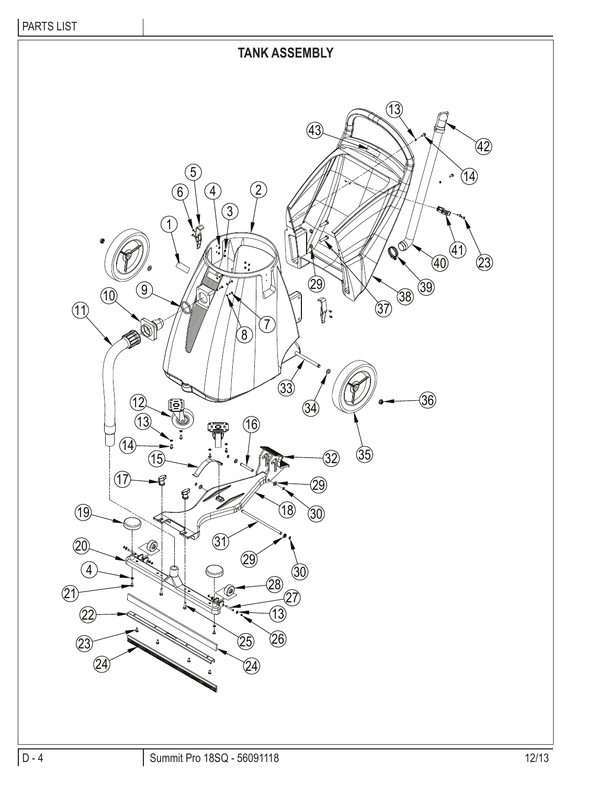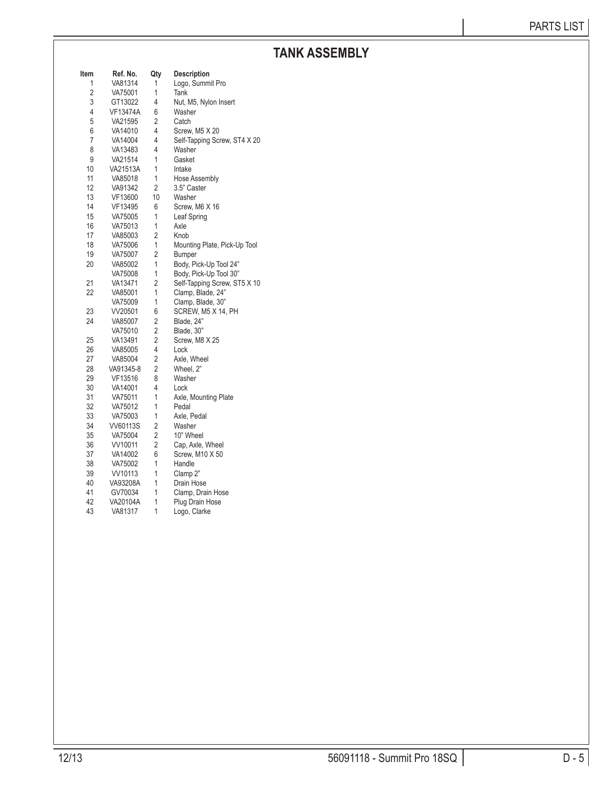# **TANK ASSEMBLY**

| Item | Ref. No.  | Qty            | <b>Description</b>           |
|------|-----------|----------------|------------------------------|
| 1    | VA81314   | 1              | Logo, Summit Pro             |
| 2    | VA75001   | 1              | Tank                         |
| 3    | GT13022   | 4              | Nut, M5, Nylon Insert        |
| 4    | VF13474A  | 6              | Washer                       |
| 5    | VA21595   | 2              | Catch                        |
| 6    | VA14010   | 4              | Screw, M5 X 20               |
| 7    | VA14004   | 4              | Self-Tapping Screw, ST4 X 20 |
| 8    | VA13483   | 4              | Washer                       |
| 9    | VA21514   | 1              | Gasket                       |
| 10   | VA21513A  | 1              | Intake                       |
| 11   | VA85018   | 1              | Hose Assembly                |
| 12   | VA91342   | 2              | 3.5" Caster                  |
| 13   | VF13600   | 10             | Washer                       |
| 14   | VF13495   | 6              | Screw, M6 X 16               |
| 15   | VA75005   | 1              | Leaf Spring                  |
| 16   | VA75013   | 1              | Axle                         |
| 17   | VA85003   | $\overline{2}$ | Knob                         |
| 18   | VA75006   | 1              | Mounting Plate, Pick-Up Tool |
| 19   | VA75007   | 2              | Bumper                       |
| 20   | VA85002   | 1              | Body, Pick-Up Tool 24"       |
|      | VA75008   | 1              | Body, Pick-Up Tool 30"       |
| 21   | VA13471   | $\overline{2}$ | Self-Tapping Screw, ST5 X 10 |
| 22   | VA85001   | 1              | Clamp, Blade, 24"            |
|      | VA75009   | 1              | Clamp, Blade, 30"            |
| 23   | VV20501   | 6              | SCREW, M5 X 14, PH           |
| 24   | VA85007   | $\overline{2}$ | Blade, 24"                   |
|      | VA75010   | $\overline{2}$ | Blade, 30"                   |
| 25   | VA13491   | 2              | Screw, M8 X 25               |
| 26   | VA85005   | 4              | Lock                         |
| 27   | VA85004   | 2              | Axle, Wheel                  |
| 28   | VA91345-8 | $\overline{2}$ | Wheel, 2"                    |
| 29   | VF13516   | 8              | Washer                       |
| 30   | VA14001   | 4              | Lock                         |
| 31   | VA75011   | 1              | Axle, Mounting Plate         |
| 32   | VA75012   | 1              | Pedal                        |
| 33   | VA75003   | 1              | Axle, Pedal                  |
| 34   | VV60113S  | $\overline{2}$ | Washer                       |
| 35   | VA75004   | $\overline{2}$ | 10" Wheel                    |
| 36   | VV10011   | 2              | Cap, Axle, Wheel             |
| 37   | VA14002   | 6              | Screw, M10 X 50              |
| 38   | VA75002   | 1              | Handle                       |
| 39   | VV10113   | 1              | Clamp 2"                     |
| 40   | VA93208A  | 1              | Drain Hose                   |
| 41   | GV70034   | 1              | Clamp, Drain Hose            |
| 42   | VA20104A  | 1              | Plug Drain Hose              |
| 43   | VA81317   | 1              | Logo, Clarke                 |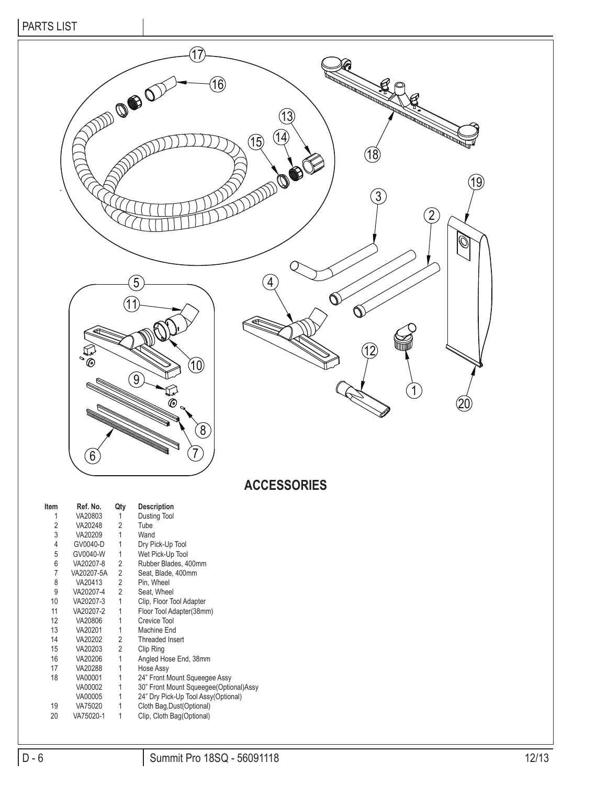

## **ACCESSORIES**

| Item              | Ref. No.   | Qty            | <b>Description</b>                     |
|-------------------|------------|----------------|----------------------------------------|
| 1                 | VA20803    | 1              | Dusting Tool                           |
| 2                 | VA20248    | $\overline{2}$ | Tube                                   |
| 3                 | VA20209    | 1              | Wand                                   |
| 4                 | GV0040-D   | 1              | Dry Pick-Up Tool                       |
| 5                 | GV0040-W   | 1              | Wet Pick-Up Tool                       |
| 6                 | VA20207-8  | 2              | Rubber Blades, 400mm                   |
| 7                 | VA20207-5A | 2              | Seat, Blade, 400mm                     |
| 8                 | VA20413    | $\overline{2}$ | Pin, Wheel                             |
| 9                 | VA20207-4  | $\overline{2}$ | Seat. Wheel                            |
| 10                | VA20207-3  | 1              | Clip, Floor Tool Adapter               |
| 11                | VA20207-2  | 1              | Floor Tool Adapter(38mm)               |
| $12 \overline{ }$ | VA20806    | 1              | Crevice Tool                           |
| 13                | VA20201    | 1              | Machine End                            |
| 14                | VA20202    | 2              | <b>Threaded Insert</b>                 |
| 15                | VA20203    | 2              | Clip Ring                              |
| 16                | VA20206    | 1              | Angled Hose End, 38mm                  |
| 17                | VA20288    | 1              | Hose Assy                              |
| 18                | VA00001    | 1              | 24" Front Mount Squeegee Assy          |
|                   | VA00002    | 1              | 30" Front Mount Squeegee(Optional)Assy |
|                   | VA00005    | 1              | 24" Dry Pick-Up Tool Assy(Optional)    |
| 19                | VA75020    | 1              | Cloth Bag, Dust(Optional)              |
| 20                | VA75020-1  | 1              | Clip, Cloth Bag(Optional)              |
|                   |            |                |                                        |